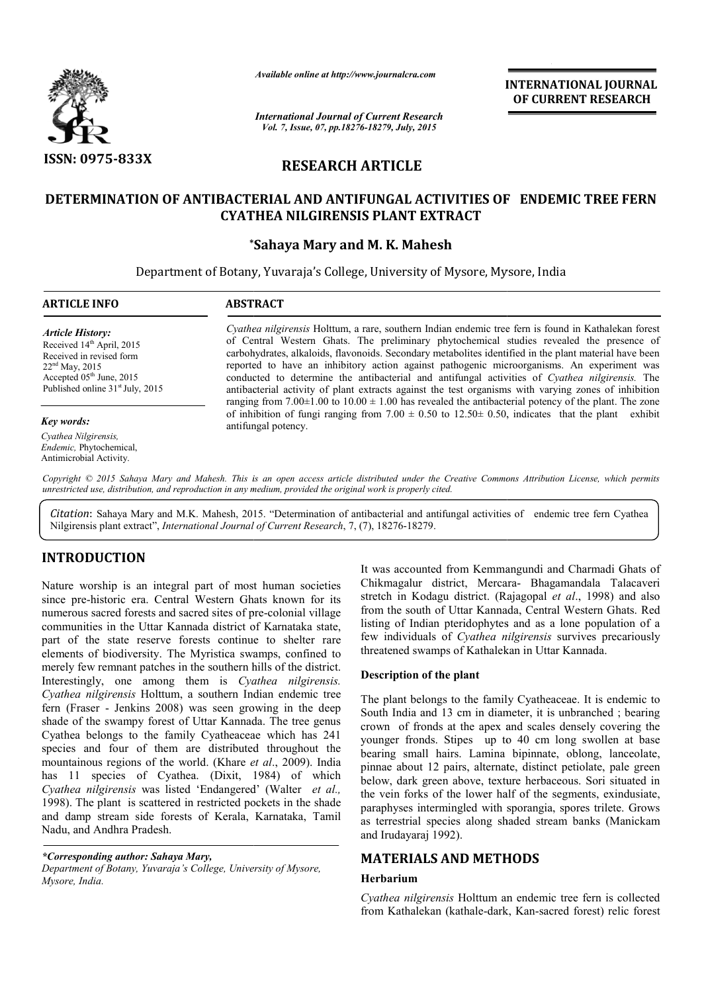

*Available online at http://www.journalcra.com*

*International Journal of Current Research Vol. 7, Issue, 07, pp.18276-18279, July, 2015*

INTERNATIONAL INTERNATIONAL JOURNAL OF CURRENT RESEARCH

# RESEARCH ARTICLE

# DETERMINATION OF ANTIBACTERIAL AND ANTIFUNGAL ACTIVITIES OF ENDEMIC TREE FERN OF CYATHEA NILGIRENSIS PLANT EXTRACT

## \* \*Sahaya Mary and M. K. Mahesh

Department of Botany, Yuvaraja's College, University of Mysore, Mysore, India Mysore, Mysore,

#### ARTICLE INFO ABSTRACT *Cyathea nilgirensis* Holttum, a rare, southern Indian endemic tree fern is found in Kathalekan forest of Central Western Ghats. The preliminary phytochemical studies revealed the presence of carbohydrates, alkaloids, flavonoids. Secondary metabolites identified in the plant ma reported to have an inhibitory action against pathogenic microorganisms. An experiment was conducted to determine the antibacterial and antifungal activities of *Cyathea nilgirensis.* The antibacterial activity of plant extracts against the test organisms with varying zones of inhibition ranging from  $7.00\pm1.00$  to  $10.00\pm1.00$  has revealed the antibacterial potency of the plant. The zone antibacterial activity of plant extracts against the test organisms with varying zones of inhibition ranging from 7.00  $\pm$  1.00 has revealed the antibacterial potency of the plant. The zone of inhibition of fungi ranging antifun antifungal potency. *Article History:* Received 14<sup>th</sup> April, 2015 Received in revised form 22nd May, 2015 Accepted 05<sup>th</sup> June, 2015 Published online  $31<sup>st</sup>$  July, 2015 *Key words: Cyathea Nilgirensis, Endemic,* Phytochemical, 1 *thea nilgirensis* Holttum, a rare, southern Indian endemic tree fern is found in Kathalekan forest<br>Central Western Ghats. The preliminary phytochemical studies revealed the presence of<br>pohydrates, alkaloids, flavonoids. S

Copyright © 2015 Sahaya Mary and Mahesh. This is an open access article distributed under the Creative Commons Attribution License, which permits *unrestricted use, distribution, and reproduction in any medium, provided the original work is properly cited.*

Citation: Sahaya Mary and M.K. Mahesh, 2015. "Determination of antibacterial and antifungal activities of endemic tree fern Cyathea Nilgirensis plant extract", *International Journal of Current Research*, 7, (7), 18276-18279.

# INTRODUCTION

Antimicrobial Activity.

Nature worship is an integral part of most human societies since pre-historic era. Central Western Ghats known for its since pre-historic era. Central Western Ghats known for its numerous sacred forests and sacred sites of pre-colonial village communities in the Uttar Kannada district of Karnataka state, part of the state reserve forests continue to shelter rare elements of biodiversity. The Myristica swamps, confined to merely few remnant patches in the southern hills of the district. Interestingly, one among them is *Cyathea nilgirensis. Cyathea nilgirensis* Holttum, a southern Indian endemic tree fern (Fraser - Jenkins 2008) was seen growing in the deep shade of the swampy forest of Uttar Kannada. The tree genus Cyathea belongs to the family Cyatheaceae which has 241 species and four of them are distributed throughout the mountainous regions of the world. (Khare *et al* has 11 species of Cyathea. (Dixit, 1984) of which Cyathea nilgirensis was listed 'Endangered' (Walter et al., 1998). The plant is scattered in restricted pockets in the shade and damp stream side forests of Kerala, Karnataka, Tamil Nadu, and Andhra Pradesh. In the Uttar Kannada district of Karnataka state, state reserve forests continue to shelter rare iodiversity. The Myristica swamps, confined to mnant patches in the southern hills of the district. one among them is *Cyath* 

*\*Corresponding author: Sahaya Mary, Department of Botany, Yuvaraja's College, University of Mysore, Mysore, India.*

It was accounted from Kemmangundi and Charmadi Ghats of It was accounted from Kemmangundi and Charmadi Ghats of Chikmagalur district, Mercara- Bhagamandala Talacaveri stretch in Kodagu district. (Rajagopal et al., 1998) and also from the south of Uttar Kannada, Central Western Ghats. Red listing of Indian pteridophytes and as a lone population of a few individuals of *Cyathea nilgirensis* survives precariously threatened swamps of Kathalekan in Uttar Kannada.

### Description of the plant

The plant belongs to the family Cyatheaceae. It is endemic to South India and 13 cm in diameter, it is unbranched ; bearing crown of fronds at the apex and scales densely covering the younger fronds. Stipes up to 40 cm long swollen at base South India and 13 cm in diameter, it is unbranched; bearing crown of fronds at the apex and scales densely covering the younger fronds. Stipes up to 40 cm long swollen at base bearing small hairs. Lamina bipinnate, oblong pinnae about 12 pairs, alternate, distinct petiolate, pale green below, dark green above, texture herbaceous. Sori situated in the vein forks of the lower half of the segments, exindusiate, below, dark green above, texture herbaceous. Sori situated in the vein forks of the lower half of the segments, exindusiate, paraphyses intermingled with sporangia, spores trilete. Grows as terrestrial species along shaded stream banks (Manickam and Irudayaraj 1992).

# MATERIALS AND METHODS METHODS

#### Herbarium

*Cyathea nilgirensis* Holttum an endemic tree fern is collected Cyathea nilgirensis Holttum an endemic tree fern is collected from Kathalekan (kathale-dark, Kan-sacred forest) relic forest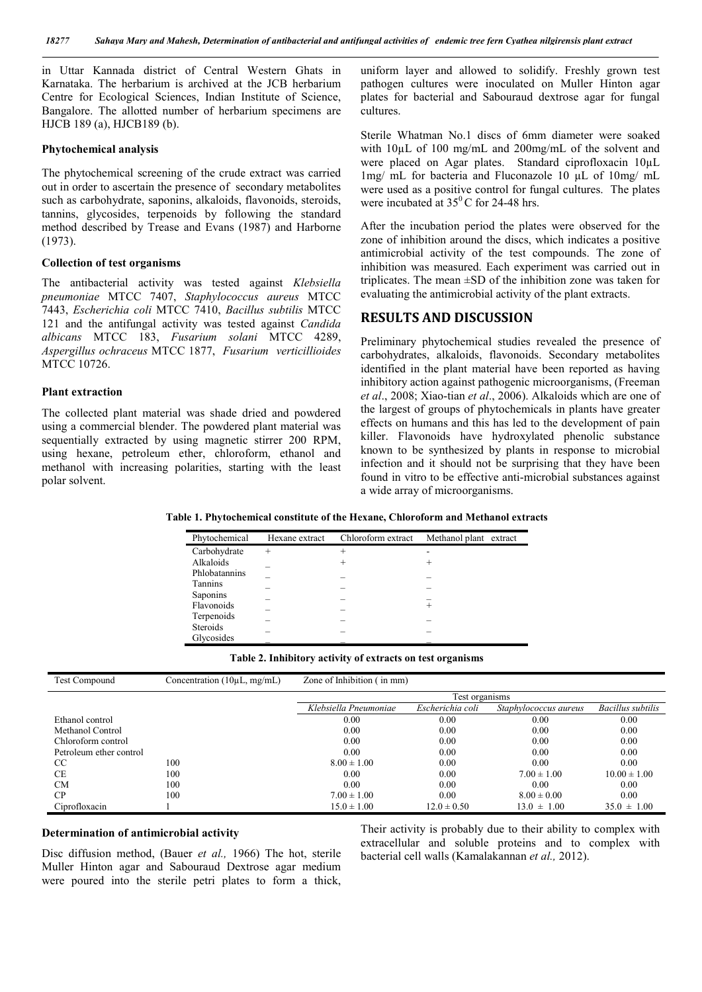in Uttar Kannada district of Central Western Ghats in Karnataka. The herbarium is archived at the JCB herbarium Centre for Ecological Sciences, Indian Institute of Science, Bangalore. The allotted number of herbarium specimens are HJCB 189 (a), HJCB189 (b).

### Phytochemical analysis

The phytochemical screening of the crude extract was carried out in order to ascertain the presence of secondary metabolites such as carbohydrate, saponins, alkaloids, flavonoids, steroids, tannins, glycosides, terpenoids by following the standard method described by Trease and Evans (1987) and Harborne (1973).

### Collection of test organisms

The antibacterial activity was tested against *Klebsiella pneumoniae* MTCC 7407, *Staphylococcus aureus* MTCC 7443, *Escherichia coli* MTCC 7410, *Bacillus subtilis* MTCC 121 and the antifungal activity was tested against *Candida albicans* MTCC 183, *Fusarium solani* MTCC 4289, *Aspergillus ochraceus* MTCC 1877, *Fusarium verticillioides* MTCC 10726.

### Plant extraction

The collected plant material was shade dried and powdered using a commercial blender. The powdered plant material was sequentially extracted by using magnetic stirrer 200 RPM, using hexane, petroleum ether, chloroform, ethanol and methanol with increasing polarities, starting with the least polar solvent.

uniform layer and allowed to solidify. Freshly grown test pathogen cultures were inoculated on Muller Hinton agar plates for bacterial and Sabouraud dextrose agar for fungal cultures.

Sterile Whatman No.1 discs of 6mm diameter were soaked with 10µL of 100 mg/mL and 200mg/mL of the solvent and were placed on Agar plates. Standard ciprofloxacin 10µL 1mg/ mL for bacteria and Fluconazole 10 µL of 10mg/ mL were used as a positive control for fungal cultures. The plates were incubated at  $35^{\circ}$ C for 24-48 hrs.

After the incubation period the plates were observed for the zone of inhibition around the discs, which indicates a positive antimicrobial activity of the test compounds. The zone of inhibition was measured. Each experiment was carried out in triplicates. The mean ±SD of the inhibition zone was taken for evaluating the antimicrobial activity of the plant extracts.

### RESULTS AND DISCUSSION

Preliminary phytochemical studies revealed the presence of carbohydrates, alkaloids, flavonoids. Secondary metabolites identified in the plant material have been reported as having inhibitory action against pathogenic microorganisms, (Freeman *et al*., 2008; Xiao-tian *et al*., 2006). Alkaloids which are one of the largest of groups of phytochemicals in plants have greater effects on humans and this has led to the development of pain killer. Flavonoids have hydroxylated phenolic substance known to be synthesized by plants in response to microbial infection and it should not be surprising that they have been found in vitro to be effective anti-microbial substances against a wide array of microorganisms.

Table 1. Phytochemical constitute of the Hexane, Chloroform and Methanol extracts

| Phytochemical   | Hexane extract | Chloroform extract | Methanol plant extract |
|-----------------|----------------|--------------------|------------------------|
| Carbohydrate    | $^{+}$         | $^{+}$             | -                      |
| Alkaloids       |                | ٠                  |                        |
| Phlobatannins   |                |                    |                        |
| Tannins         |                |                    |                        |
| Saponins        |                |                    |                        |
| Flavonoids      |                |                    |                        |
| Terpenoids      |                |                    |                        |
| <b>Steroids</b> |                |                    |                        |
| Glycosides      |                |                    |                        |

| Table 2. Inhibitory activity of extracts on test organisms |
|------------------------------------------------------------|
|------------------------------------------------------------|

| Test Compound           | Concentration $(10\mu L, mg/mL)$ | Zone of Inhibition (in mm) |                  |                       |                   |
|-------------------------|----------------------------------|----------------------------|------------------|-----------------------|-------------------|
|                         |                                  | Test organisms             |                  |                       |                   |
|                         |                                  | Klebsiella Pneumoniae      | Escherichia coli | Staphylococcus aureus | Bacillus subtilis |
| Ethanol control         |                                  | 0.00                       | 0.00             | 0.00                  | 0.00              |
| Methanol Control        |                                  | 0.00                       | 0.00             | 0.00                  | 0.00              |
| Chloroform control      |                                  | 0.00                       | 0.00             | 0.00                  | 0.00              |
| Petroleum ether control |                                  | 0.00                       | 0.00             | 0.00                  | 0.00              |
| <sub>CC</sub>           | 100                              | $8.00 \pm 1.00$            | 0.00             | 0.00                  | 0.00              |
| CE                      | 100                              | 0.00                       | 0.00             | $7.00 \pm 1.00$       | $10.00 \pm 1.00$  |
| <b>CM</b>               | 100                              | 0.00                       | 0.00             | 0.00                  | 0.00              |
| CP.                     | 100                              | $7.00 \pm 1.00$            | 0.00             | $8.00 \pm 0.00$       | 0.00              |
| Ciprofloxacin           |                                  | $15.0 \pm 1.00$            | $12.0 \pm 0.50$  | $13.0 \pm 1.00$       | $35.0 \pm 1.00$   |

#### Determination of antimicrobial activity

Disc diffusion method, (Bauer *et al.,* 1966) The hot, sterile Muller Hinton agar and Sabouraud Dextrose agar medium were poured into the sterile petri plates to form a thick,

Their activity is probably due to their ability to complex with extracellular and soluble proteins and to complex with bacterial cell walls (Kamalakannan *et al.,* 2012).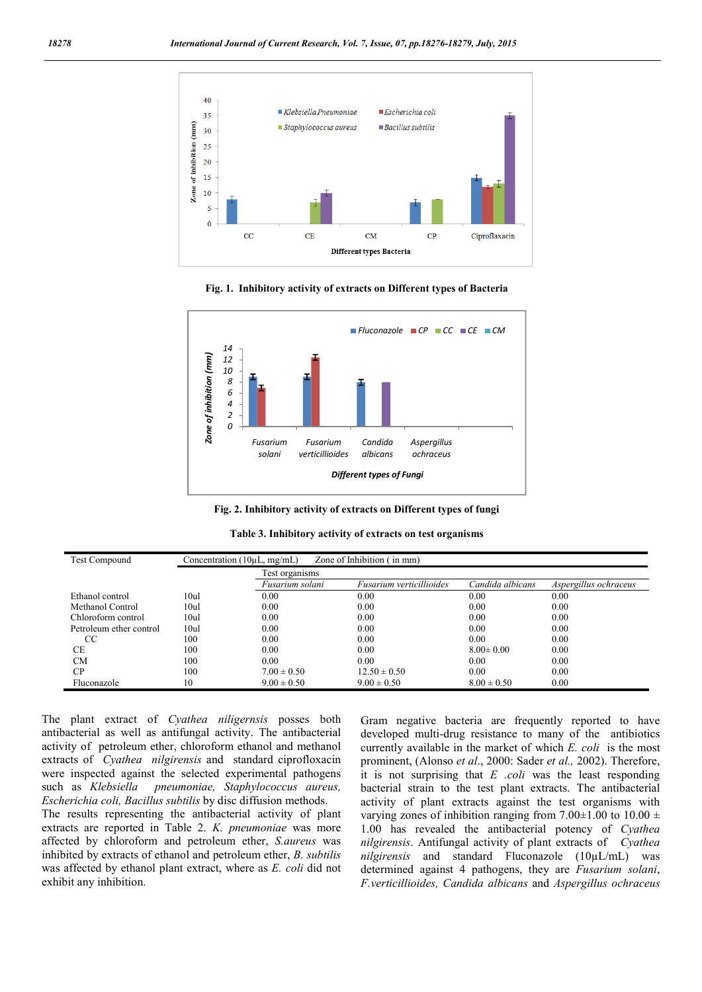





Fig. 2. Inhibitory activity of extracts on Different types of fungi

| Test Compound           | Concentration $(10\mu L, mg/mL)$ |                 | Zone of Inhibition (in mm) |                  |                       |
|-------------------------|----------------------------------|-----------------|----------------------------|------------------|-----------------------|
|                         |                                  | Test organisms  |                            |                  |                       |
|                         |                                  | Fusarium solani | Fusarium verticillioides   | Candida albicans | Aspergillus ochraceus |
| Ethanol control         | 10ul                             | 0.00            | 0.00                       | 0.00             | 0.00                  |
| Methanol Control        | 10ul                             | 0.00            | 0.00                       | 0.00             | 0.00                  |
| Chloroform control      | 10ul                             | 0.00            | 0.00                       | 0.00             | 0.00                  |
| Petroleum ether control | 10ul                             | 0.00            | 0.00                       | 0.00             | 0.00                  |
| <sub>CC</sub>           | 100                              | 0.00            | 0.00                       | 0.00             | 0.00                  |
| СE                      | 100                              | 0.00            | 0.00                       | $8.00 \pm 0.00$  | 0.00                  |
| <b>CM</b>               | 100                              | 0.00            | 0.00                       | 0.00             | 0.00                  |
| CP                      | 100                              | $7.00 \pm 0.50$ | $12.50 \pm 0.50$           | 0.00             | 0.00                  |
| Fluconazole             | 10                               | $9.00 \pm 0.50$ | $9.00 \pm 0.50$            | $8.00 \pm 0.50$  | 0.00                  |

| Table 3. Inhibitory activity of extracts on test organisms |  |  |  |  |
|------------------------------------------------------------|--|--|--|--|
|------------------------------------------------------------|--|--|--|--|

The plant extract of *Cyathea niligernsis* posses both antibacterial as well as antifungal activity. The antibacterial activity of petroleum ether, chloroform ethanol and methanol extracts of *Cyathea nilgirensis* and standard ciprofloxacin were inspected against the selected experimental pathogens such as *Klebsiella pneumoniae, Staphylococcus aureus, Escherichia coli, Bacillus subtilis* by disc diffusion methods.

The results representing the antibacterial activity of plant extracts are reported in Table 2. *K. pneumoniae* was more affected by chloroform and petroleum ether, *S.aureus* was inhibited by extracts of ethanol and petroleum ether, *B. subtilis*  was affected by ethanol plant extract, where as *E. coli* did not exhibit any inhibition.

Gram negative bacteria are frequently reported to have developed multi-drug resistance to many of the antibiotics currently available in the market of which *E. coli* is the most prominent, (Alonso *et al*., 2000: Sader *et al.,* 2002). Therefore, it is not surprising that *E .coli* was the least responding bacterial strain to the test plant extracts. The antibacterial activity of plant extracts against the test organisms with varying zones of inhibition ranging from 7.00 $\pm$ 1.00 to 10.00  $\pm$ 1.00 has revealed the antibacterial potency of *Cyathea nilgirensis*. Antifungal activity of plant extracts of *Cyathea nilgirensis* and standard Fluconazole (10µL/mL) was determined against 4 pathogens, they are *Fusarium solani*, *F.verticillioides, Candida albicans* and *Aspergillus ochraceus*